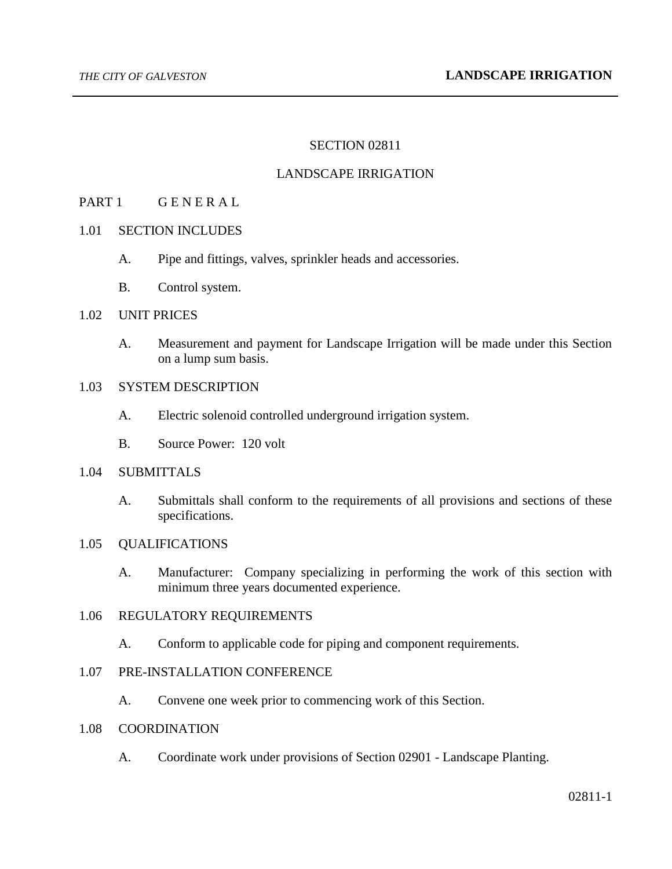### SECTION 02811

### LANDSCAPE IRRIGATION

### PART 1 GENERAL

#### 1.01 SECTION INCLUDES

- A. Pipe and fittings, valves, sprinkler heads and accessories.
- B. Control system.

### 1.02 UNIT PRICES

A. Measurement and payment for Landscape Irrigation will be made under this Section on a lump sum basis.

## 1.03 SYSTEM DESCRIPTION

- A. Electric solenoid controlled underground irrigation system.
- B. Source Power: 120 volt

# 1.04 SUBMITTALS

A. Submittals shall conform to the requirements of all provisions and sections of these specifications.

#### 1.05 QUALIFICATIONS

A. Manufacturer: Company specializing in performing the work of this section with minimum three years documented experience.

### 1.06 REGULATORY REQUIREMENTS

A. Conform to applicable code for piping and component requirements.

## 1.07 PRE-INSTALLATION CONFERENCE

A. Convene one week prior to commencing work of this Section.

#### 1.08 COORDINATION

A. Coordinate work under provisions of Section 02901 - Landscape Planting.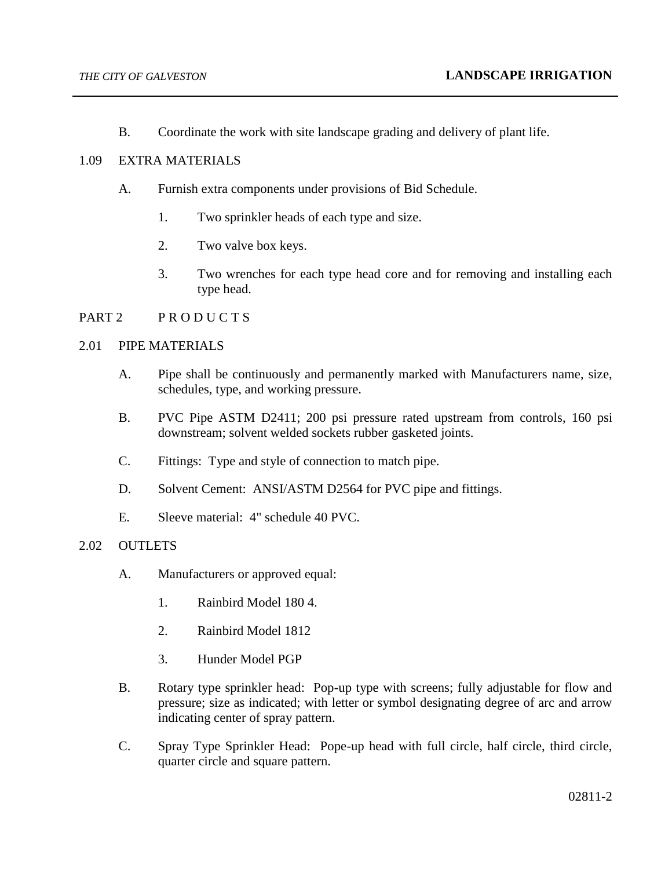B. Coordinate the work with site landscape grading and delivery of plant life.

## 1.09 EXTRA MATERIALS

- A. Furnish extra components under provisions of Bid Schedule.
	- 1. Two sprinkler heads of each type and size.
	- 2. Two valve box keys.
	- 3. Two wrenches for each type head core and for removing and installing each type head.

# PART 2 PRODUCTS

### 2.01 PIPE MATERIALS

- A. Pipe shall be continuously and permanently marked with Manufacturers name, size, schedules, type, and working pressure.
- B. PVC Pipe ASTM D2411; 200 psi pressure rated upstream from controls, 160 psi downstream; solvent welded sockets rubber gasketed joints.
- C. Fittings: Type and style of connection to match pipe.
- D. Solvent Cement: ANSI/ASTM D2564 for PVC pipe and fittings.
- E. Sleeve material: 4" schedule 40 PVC.

## 2.02 OUTLETS

- A. Manufacturers or approved equal:
	- 1. Rainbird Model 180 4.
	- 2. Rainbird Model 1812
	- 3. Hunder Model PGP
- B. Rotary type sprinkler head: Pop-up type with screens; fully adjustable for flow and pressure; size as indicated; with letter or symbol designating degree of arc and arrow indicating center of spray pattern.
- C. Spray Type Sprinkler Head: Pope-up head with full circle, half circle, third circle, quarter circle and square pattern.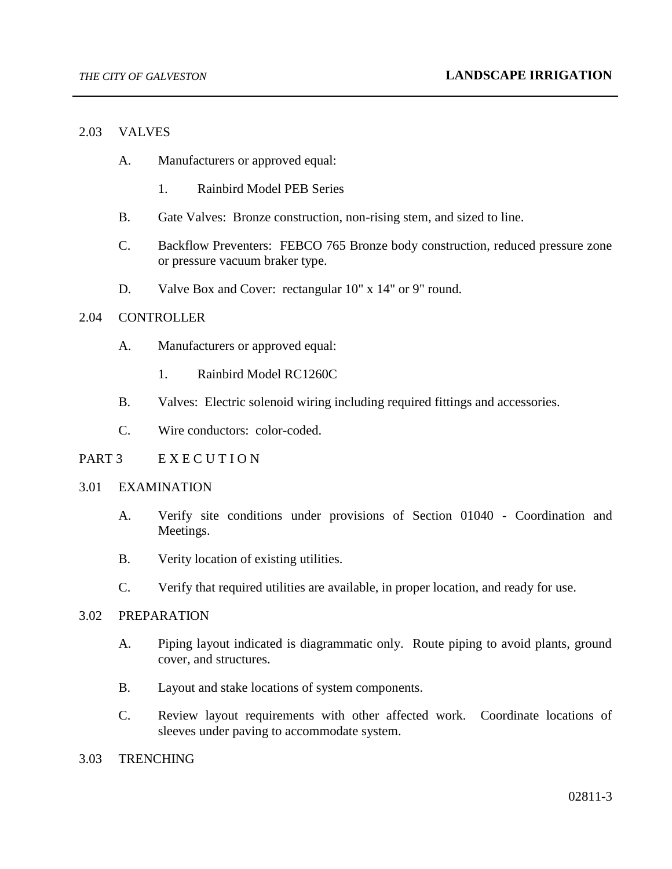#### 2.03 VALVES

- A. Manufacturers or approved equal:
	- 1. Rainbird Model PEB Series
- B. Gate Valves: Bronze construction, non-rising stem, and sized to line.
- C. Backflow Preventers: FEBCO 765 Bronze body construction, reduced pressure zone or pressure vacuum braker type.
- D. Valve Box and Cover: rectangular 10" x 14" or 9" round.

### 2.04 CONTROLLER

- A. Manufacturers or approved equal:
	- 1. Rainbird Model RC1260C
- B. Valves: Electric solenoid wiring including required fittings and accessories.
- C. Wire conductors: color-coded.

### PART 3 EXECUTION

#### 3.01 EXAMINATION

- A. Verify site conditions under provisions of Section 01040 Coordination and Meetings.
- B. Verity location of existing utilities.
- C. Verify that required utilities are available, in proper location, and ready for use.

### 3.02 PREPARATION

- A. Piping layout indicated is diagrammatic only. Route piping to avoid plants, ground cover, and structures.
- B. Layout and stake locations of system components.
- C. Review layout requirements with other affected work. Coordinate locations of sleeves under paving to accommodate system.

#### 3.03 TRENCHING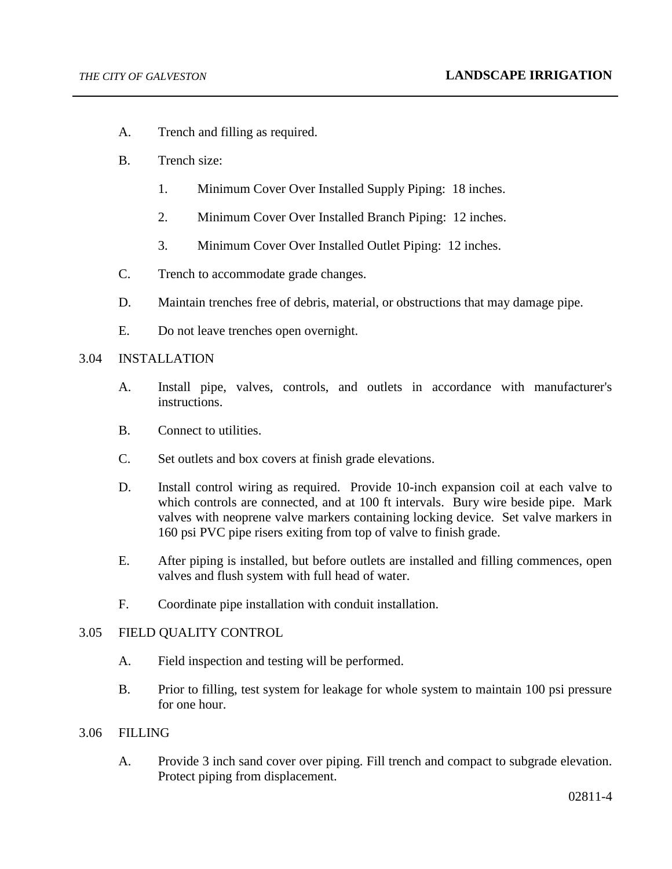- A. Trench and filling as required.
- B. Trench size:
	- 1. Minimum Cover Over Installed Supply Piping: 18 inches.
	- 2. Minimum Cover Over Installed Branch Piping: 12 inches.
	- 3. Minimum Cover Over Installed Outlet Piping: 12 inches.
- C. Trench to accommodate grade changes.
- D. Maintain trenches free of debris, material, or obstructions that may damage pipe.
- E. Do not leave trenches open overnight.

## 3.04 INSTALLATION

- A. Install pipe, valves, controls, and outlets in accordance with manufacturer's instructions.
- B. Connect to utilities.
- C. Set outlets and box covers at finish grade elevations.
- D. Install control wiring as required. Provide 10-inch expansion coil at each valve to which controls are connected, and at 100 ft intervals. Bury wire beside pipe. Mark valves with neoprene valve markers containing locking device. Set valve markers in 160 psi PVC pipe risers exiting from top of valve to finish grade.
- E. After piping is installed, but before outlets are installed and filling commences, open valves and flush system with full head of water.
- F. Coordinate pipe installation with conduit installation.

## 3.05 FIELD QUALITY CONTROL

- A. Field inspection and testing will be performed.
- B. Prior to filling, test system for leakage for whole system to maintain 100 psi pressure for one hour.

## 3.06 FILLING

A. Provide 3 inch sand cover over piping. Fill trench and compact to subgrade elevation. Protect piping from displacement.